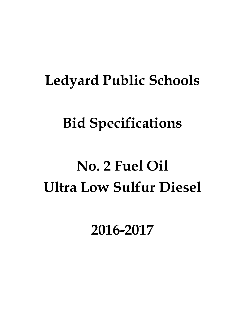# **Ledyard Public Schools**

# **Bid Specifications**

# **No. 2 Fuel Oil Ultra Low Sulfur Diesel**

**2016-2017**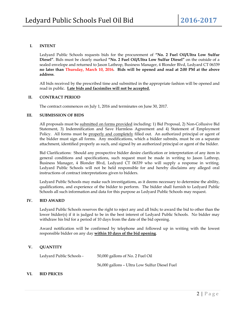#### **I. INTENT**

Ledyard Public Schools requests bids for the procurement of **"No. 2 Fuel Oil/Ultra Low Sulfur Diesel"**. Bids must be clearly marked **"No. 2 Fuel Oil/Ultra Low Sulfur Diesel"** on the outside of a sealed envelope and returned to Jason Lathrop, Business Manager, 4 Blonder Blvd, Ledyard CT 06339 **no later than Thursday, March 10, 2016. Bids will be opened and read at 2:00 PM at the above address**.

All bids received by the prescribed time and submitted in the appropriate fashion will be opened and read in public. **Late bids and facsimiles will not be accepted.**

#### **II. CONTRACT PERIOD**

The contract commences on July 1, 2016 and terminates on June 30, 2017.

#### **III. SUBMISSION OF BIDS**

All proposals must be submitted on forms provided including: 1) Bid Proposal, 2) Non-Collusive Bid Statement, 3) Indemnification and Save Harmless Agreement and 4) Statement of Employment Policy. All forms must be properly and completely filled out. An authorized principal or agent of the bidder must sign all forms. Any modifications, which a bidder submits, must be on a separate attachment, identified properly as such, and signed by an authorized principal or agent of the bidder.

Bid Clarifications: Should any prospective bidder desire clarification or interpretation of any item in general conditions and specifications, such request must be made in writing to Jason Lathrop, Business Manager, 4 Blonder Blvd, Ledyard CT 06339 who will supply a response in writing. Ledyard Public Schools will not be held responsible for and hereby disclaims any alleged oral instructions of contract interpretations given to bidders.

Ledyard Public Schools may make such investigations, as it deems necessary to determine the ability, qualifications, and experience of the bidder to perform. The bidder shall furnish to Ledyard Public Schools all such information and data for this purpose as Ledyard Public Schools may request.

#### **IV. BID AWARD**

Ledyard Public Schools reserves the right to reject any and all bids; to award the bid to other than the lower bidder(s) if it is judged to be in the best interest of Ledyard Public Schools. No bidder may withdraw his bid for a period of 10 days from the date of the bid opening.

Award notification will be confirmed by telephone and followed up in writing with the lowest responsible bidder on any day **within 10 days of the bid opening**.

#### **V. QUANTITY**

Ledyard Public Schools - 50,000 gallons of No. 2 Fuel Oil

56,000 gallons – Ultra Low Sulfur Diesel Fuel

#### **VI. BID PRICES**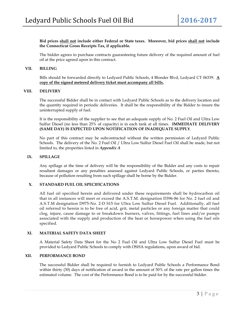#### **Bid prices shall not include either Federal or State taxes. Moreover, bid prices shall not include the Connecticut Gross Receipts Tax, if applicable.**

The bidder agrees to purchase contracts guaranteeing future delivery of the required amount of fuel oil at the price agreed upon in this contract.

#### **VII. BILLING**

Bills should be forwarded directly to Ledyard Public Schools, 4 Blonder Blvd, Ledyard CT 06339. **A copy of the signed metered delivery ticket must accompany all bills.**

#### **VIII. DELIVERY**

The successful Bidder shall be in contact with Ledyard Public Schools as to the delivery location and the quantity required in periodic deliveries. It shall be the responsibility of the Bidder to insure the uninterrupted supply of fuel.

It is the responsibility of the supplier to see that an adequate supply of No. 2 Fuel Oil and Ultra Low Sulfur Diesel (no less than 25% of capacity) is in each tank at all times. **IMMEDIATE DELIVERY (SAME DAY) IS EXPECTED UPON NOTIFICATION OF INADEQUATE SUPPLY**.

No part of this contract may be subcontracted without the written permission of Ledyard Public Schools. The delivery of the No. 2 Fuel Oil / Ultra Low Sulfur Diesel Fuel Oil shall be made, but not limited to, the properties listed in *Appendix A*

#### **IX. SPILLAGE**

Any spillage at the time of delivery will be the responsibility of the Bidder and any costs to repair resultant damages or any penalties assessed against Ledyard Public Schools, or parties thereto, because of pollution resulting from such spillage shall be borne by the Bidder.

#### **X. STANDARD FUEL OIL SPECIFICATIONS**

All fuel oil specified herein and delivered under these requirements shall be hydrocarbon oil that in all instances will meet or exceed the A.S.T.M. designation D396-86 for No. 2 fuel oil and A.S.T.M designation D975-No. 2-D S15 for Ultra Low Sulfur Diesel Fuel. Additionally, all fuel oil referred to herein is to be free of acid, grit, metal particles or any foreign matter that could clog, injure, cause damage to or breakdown burners, valves, fittings, fuel lines and/or pumps associated with the supply and production of the heat or horsepower when using the fuel oils specified.

#### **XI. MATERIAL SAFETY DATA SHEET**

A Material Safety Data Sheet for the No 2 Fuel Oil and Ultra Low Sulfur Diesel Fuel must be provided to Ledyard Public Schools to comply with OSHA regulations, upon award of bid.

#### **XII. PERFORMANCE BOND**

The successful Bidder shall be required to furnish to Ledyard Public Schools a Performance Bond within thirty (30) days of notification of award in the amount of 50% of the rate per gallon times the estimated volume. The cost of the Performance Bond is to be paid for by the successful bidder.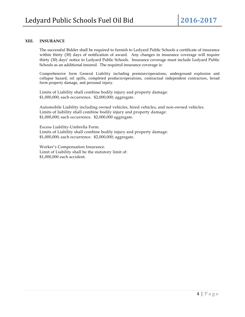#### **XIII. INSURANCE**

The successful Bidder shall be required to furnish to Ledyard Public Schools a certificate of insurance within thirty (30) days of notification of award. Any changes in insurance coverage will require thirty (30) days' notice to Ledyard Public Schools. Insurance coverage must include Ledyard Public Schools as an additional insured. The required insurance coverage is:

Comprehensive form General Liability including premises/operations, underground explosion and collapse hazard, oil spills, completed products/operations, contractual independent contractors, broad form property damage, and personal injury.

Limits of Liability shall combine bodily injury and property damage: \$1,000,000; each occurrence. \$2,000,000; aggregate.

Automobile Liability including owned vehicles, hired vehicles, and non-owned vehicles. Limits of liability shall combine bodily injury and property damage: \$1,000,000; each occurrence. \$2,000,000 aggregate.

Excess Liability-Umbrella Form. Limits of Liability shall combine bodily injury and property damage: \$1,000,000; each occurrence. \$2,000,000; aggregate.

Worker's Compensation Insurance. Limit of Liability shall be the statutory limit of: \$1,000,000 each accident.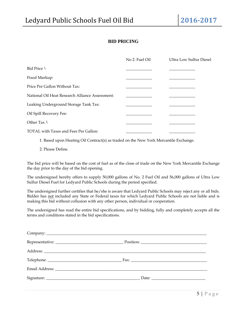# **BID PRICING**

|                                                 | No 2. Fuel Oil | <b>Ultra Low Sulfur Diesel</b> |
|-------------------------------------------------|----------------|--------------------------------|
| Bid Price <sup>1</sup> :                        |                |                                |
| Fixed Markup:                                   |                |                                |
| Price Per Gallon Without Tax:                   |                |                                |
| National Oil Heat Research Alliance Assessment: |                |                                |
| Leaking Underground Storage Tank Tax:           |                |                                |
| Oil Spill Recovery Fee:                         |                |                                |
| Other Tax <sup>2</sup> :                        |                |                                |
| TOTAL with Taxes and Fees Per Gallon:           |                |                                |

1. Based upon Heating Oil Contract(s) as traded on the New York Mercantile Exchange.

2. Please Define.

The bid price will be based on the cost of fuel as of the close of trade on the New York Mercantile Exchange the day prior to the day of the bid opening.

The undersigned hereby offers to supply 50,000 gallons of No. 2 Fuel Oil and 56,000 gallons of Ultra Low Sulfur Diesel Fuel for Ledyard Public Schools during the period specified.

The undersigned further certifies that he/she is aware that Ledyard Public Schools may reject any or all bids. Bidder has not included any State or Federal taxes for which Ledyard Public Schools are not liable and is making this bid without collusion with any other person, individual or cooperation.

The undersigned has read the entire bid specifications, and by bidding, fully and completely accepts all the terms and conditions stated in the bid specifications.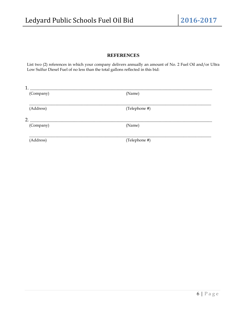## **REFERENCES**

List two (2) references in which your company delivers annually an amount of No. 2 Fuel Oil and/or Ultra Low Sulfur Diesel Fuel of no less than the total gallons reflected in this bid:

| 1.        |               |  |
|-----------|---------------|--|
| (Company) | (Name)        |  |
| (Address) | (Telephone #) |  |
| 2.        |               |  |
| (Company) | (Name)        |  |
| (Address) | (Telephone #) |  |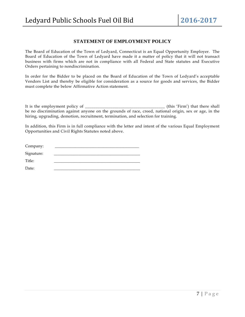## **STATEMENT OF EMPLOYMENT POLICY**

The Board of Education of the Town of Ledyard, Connecticut is an Equal Opportunity Employer. The Board of Education of the Town of Ledyard have made it a matter of policy that it will not transact business with firms which are not in compliance with all Federal and State statutes and Executive Orders pertaining to nondiscrimination.

In order for the Bidder to be placed on the Board of Education of the Town of Ledyard's acceptable Vendors List and thereby be eligible for consideration as a source for goods and services, the Bidder must complete the below Affirmative Action statement.

It is the employment policy of \_\_\_\_\_\_\_\_\_\_\_\_\_\_\_\_\_\_\_\_\_\_\_\_\_\_\_\_\_\_\_\_\_\_\_\_\_\_ (this 'Firm') that there shall be no discrimination against anyone on the grounds of race, creed, national origin, sex or age, in the hiring, upgrading, demotion, recruitment, termination, and selection for training.

In addition, this Firm is in full compliance with the letter and intent of the various Equal Employment Opportunities and Civil Rights Statutes noted above.

| Company:   |  |
|------------|--|
| Signature: |  |
| Title:     |  |
| Date:      |  |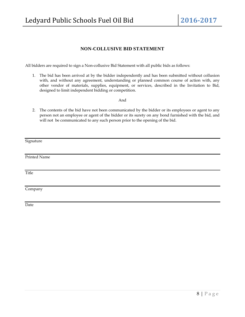## **NON-COLLUSIVE BID STATEMENT**

All bidders are required to sign a Non-collusive Bid Statement with all public bids as follows:

1. The bid has been arrived at by the bidder independently and has been submitted without collusion with, and without any agreement, understanding or planned common course of action with, any other vendor of materials, supplies, equipment, or services, described in the Invitation to Bid, designed to limit independent bidding or competition.

And

2. The contents of the bid have not been communicated by the bidder or its employees or agent to any person not an employee or agent of the bidder or its surety on any bond furnished with the bid, and will not be communicated to any such person prior to the opening of the bid.

Signature

Printed Name

**Title** 

Company

Date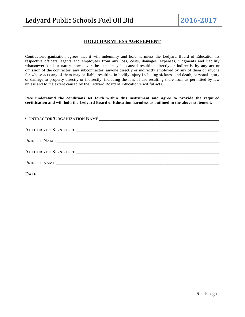# **HOLD HARMLESS AGREEMENT**

Contractor/organization agrees that it will indemnify and hold harmless the Ledyard Board of Education its respective officers, agents and employees from any loss, costs, damages, expenses, judgments and liability whatsoever kind or nature howsoever the same may be caused resulting directly or indirectly by any act or omission of the contractor, any subcontractor, anyone directly or indirectly employed by any of them or anyone for whose acts any of them may be liable resulting in bodily injury including sickness and death, personal injury or damage to property directly or indirectly, including the loss of use resulting there from as permitted by law unless and to the extent caused by the Ledyard Board of Education's willful acts.

**I/we understand the conditions set forth within this instrument and agree to provide the required certification and will hold the Ledyard Board of Education harmless as outlined in the above statement.**